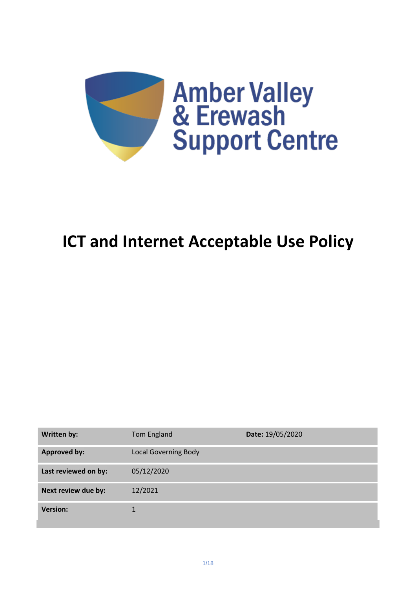

# **ICT and Internet Acceptable Use Policy**

| Written by:          | Tom England                 | Date: 19/05/2020 |
|----------------------|-----------------------------|------------------|
| <b>Approved by:</b>  | <b>Local Governing Body</b> |                  |
| Last reviewed on by: | 05/12/2020                  |                  |
| Next review due by:  | 12/2021                     |                  |
| <b>Version:</b>      | 1                           |                  |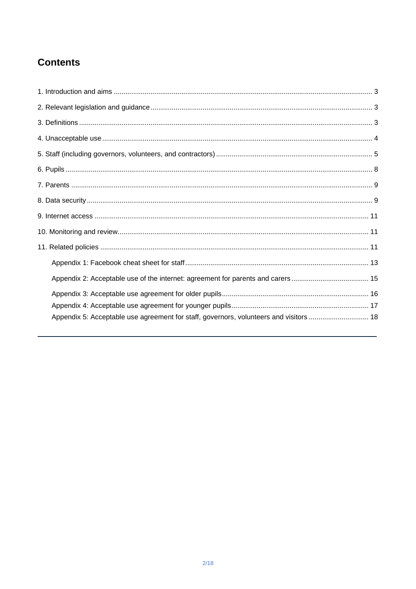# **Contents**

<span id="page-1-0"></span>

| Appendix 5: Acceptable use agreement for staff, governors, volunteers and visitors  18 |  |
|----------------------------------------------------------------------------------------|--|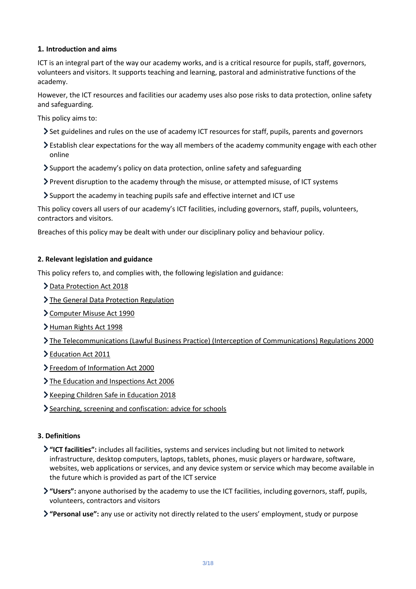# **1. Introduction and aims**

ICT is an integral part of the way our academy works, and is a critical resource for pupils, staff, governors, volunteers and visitors. It supports teaching and learning, pastoral and administrative functions of the academy.

However, the ICT resources and facilities our academy uses also pose risks to data protection, online safety and safeguarding.

This policy aims to:

- Set guidelines and rules on the use of academy ICT resources for staff, pupils, parents and governors
- Establish clear expectations for the way all members of the academy community engage with each other online
- Support the academy's policy on data protection, online safety and safeguarding
- Prevent disruption to the academy through the misuse, or attempted misuse, of ICT systems
- Support the academy in teaching pupils safe and effective internet and ICT use

This policy covers all users of our academy's ICT facilities, including governors, staff, pupils, volunteers, contractors and visitors.

Breaches of this policy may be dealt with under our disciplinary policy and behaviour policy.

# <span id="page-2-0"></span>**2. Relevant legislation and guidance**

This policy refers to, and complies with, the following legislation and guidance:

- > [Data Protection Act 2018](http://www.legislation.gov.uk/ukpga/2018/12/contents/enacted)
- > [The General Data Protection Regulation](https://eur-lex.europa.eu/legal-content/EN/TXT/HTML/?uri=CELEX:32016R0679)
- [Computer Misuse Act 1990](https://www.legislation.gov.uk/ukpga/1990/18/contents)
- [Human Rights Act 1998](https://www.legislation.gov.uk/ukpga/1998/42/contents)
- [The Telecommunications \(Lawful Business Practice\) \(Interception of Communications\) Regulations 2000](https://www.legislation.gov.uk/uksi/2000/2699/regulation/3/made)
- > [Education Act 2011](http://www.legislation.gov.uk/ukpga/2011/21/section/2/enacted)
- > [Freedom of Information Act 2000](https://www.legislation.gov.uk/ukpga/2000/36/contents)
- > [The Education and Inspections Act 2006](https://www.legislation.gov.uk/ukpga/2006/40/part/7/chapter/1)
- Xeeping Children Safe in Education 2018
- [Searching, screening and confiscation: advice for schools](https://www.gov.uk/government/publications/searching-screening-and-confiscation)

#### <span id="page-2-1"></span>**3. Definitions**

- **"ICT facilities":** includes all facilities, systems and services including but not limited to network infrastructure, desktop computers, laptops, tablets, phones, music players or hardware, software, websites, web applications or services, and any device system or service which may become available in the future which is provided as part of the ICT service
- **"Users":** anyone authorised by the academy to use the ICT facilities, including governors, staff, pupils, volunteers, contractors and visitors
- **"Personal use":** any use or activity not directly related to the users' employment, study or purpose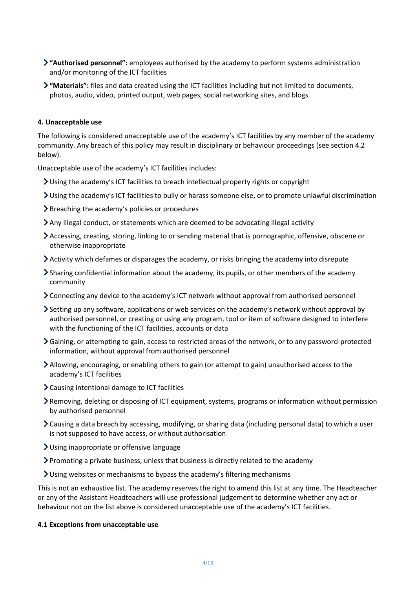- **"Authorised personnel":** employees authorised by the academy to perform systems administration and/or monitoring of the ICT facilities
- **"Materials":** files and data created using the ICT facilities including but not limited to documents, photos, audio, video, printed output, web pages, social networking sites, and blogs

#### <span id="page-3-0"></span>**4. Unacceptable use**

The following is considered unacceptable use of the academy's ICT facilities by any member of the academy community. Any breach of this policy may result in disciplinary or behaviour proceedings (see section 4.2 below).

Unacceptable use of the academy's ICT facilities includes:

- Using the academy's ICT facilities to breach intellectual property rights or copyright
- Using the academy's ICT facilities to bully or harass someone else, or to promote unlawful discrimination
- Breaching the academy's policies or procedures
- Any illegal conduct, or statements which are deemed to be advocating illegal activity
- Accessing, creating, storing, linking to or sending material that is pornographic, offensive, obscene or otherwise inappropriate
- Activity which defames or disparages the academy, or risks bringing the academy into disrepute
- Sharing confidential information about the academy, its pupils, or other members of the academy community
- Connecting any device to the academy's ICT network without approval from authorised personnel
- Setting up any software, applications or web services on the academy's network without approval by authorised personnel, or creating or using any program, tool or item of software designed to interfere with the functioning of the ICT facilities, accounts or data
- Gaining, or attempting to gain, access to restricted areas of the network, or to any password-protected information, without approval from authorised personnel
- Allowing, encouraging, or enabling others to gain (or attempt to gain) unauthorised access to the academy's ICT facilities
- Causing intentional damage to ICT facilities
- Removing, deleting or disposing of ICT equipment, systems, programs or information without permission by authorised personnel
- Causing a data breach by accessing, modifying, or sharing data (including personal data) to which a user is not supposed to have access, or without authorisation
- Using inappropriate or offensive language
- Promoting a private business, unless that business is directly related to the academy
- Using websites or mechanisms to bypass the academy's filtering mechanisms

This is not an exhaustive list. The academy reserves the right to amend this list at any time. The Headteacher or any of the Assistant Headteachers will use professional judgement to determine whether any act or behaviour not on the list above is considered unacceptable use of the academy's ICT facilities.

#### **4.1 Exceptions from unacceptable use**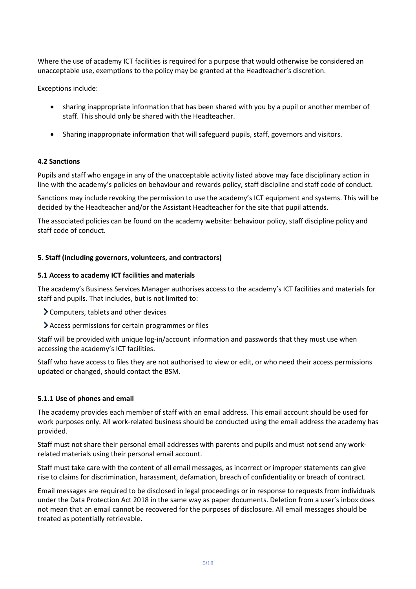Where the use of academy ICT facilities is required for a purpose that would otherwise be considered an unacceptable use, exemptions to the policy may be granted at the Headteacher's discretion.

Exceptions include:

- sharing inappropriate information that has been shared with you by a pupil or another member of staff. This should only be shared with the Headteacher.
- Sharing inappropriate information that will safeguard pupils, staff, governors and visitors.

# **4.2 Sanctions**

Pupils and staff who engage in any of the unacceptable activity listed above may face disciplinary action in line with the academy's policies on behaviour and rewards policy, staff discipline and staff code of conduct.

Sanctions may include revoking the permission to use the academy's ICT equipment and systems. This will be decided by the Headteacher and/or the Assistant Headteacher for the site that pupil attends.

The associated policies can be found on the academy website: behaviour policy, staff discipline policy and staff code of conduct.

# <span id="page-4-0"></span>**5. Staff (including governors, volunteers, and contractors)**

#### **5.1 Access to academy ICT facilities and materials**

The academy's Business Services Manager authorises access to the academy's ICT facilities and materials for staff and pupils. That includes, but is not limited to:

- Computers, tablets and other devices
- Access permissions for certain programmes or files

Staff will be provided with unique log-in/account information and passwords that they must use when accessing the academy's ICT facilities.

Staff who have access to files they are not authorised to view or edit, or who need their access permissions updated or changed, should contact the BSM.

#### **5.1.1 Use of phones and email**

The academy provides each member of staff with an email address. This email account should be used for work purposes only. All work-related business should be conducted using the email address the academy has provided.

Staff must not share their personal email addresses with parents and pupils and must not send any workrelated materials using their personal email account.

Staff must take care with the content of all email messages, as incorrect or improper statements can give rise to claims for discrimination, harassment, defamation, breach of confidentiality or breach of contract.

Email messages are required to be disclosed in legal proceedings or in response to requests from individuals under the Data Protection Act 2018 in the same way as paper documents. Deletion from a user's inbox does not mean that an email cannot be recovered for the purposes of disclosure. All email messages should be treated as potentially retrievable.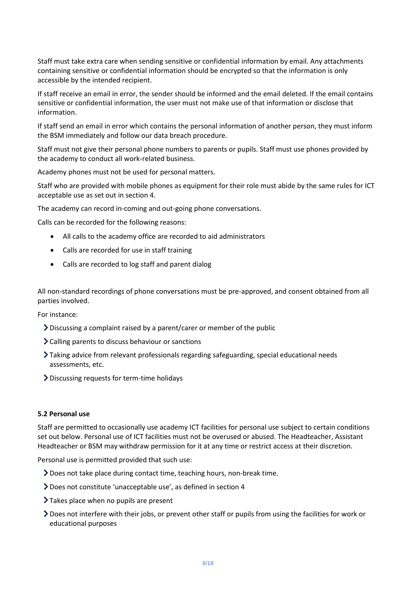Staff must take extra care when sending sensitive or confidential information by email. Any attachments containing sensitive or confidential information should be encrypted so that the information is only accessible by the intended recipient.

If staff receive an email in error, the sender should be informed and the email deleted. If the email contains sensitive or confidential information, the user must not make use of that information or disclose that information.

If staff send an email in error which contains the personal information of another person, they must inform the BSM immediately and follow our data breach procedure.

Staff must not give their personal phone numbers to parents or pupils. Staff must use phones provided by the academy to conduct all work-related business.

Academy phones must not be used for personal matters.

Staff who are provided with mobile phones as equipment for their role must abide by the same rules for ICT acceptable use as set out in section 4.

The academy can record in-coming and out-going phone conversations.

Calls can be recorded for the following reasons:

- All calls to the academy office are recorded to aid administrators
- Calls are recorded for use in staff training
- Calls are recorded to log staff and parent dialog

All non-standard recordings of phone conversations must be pre-approved, and consent obtained from all parties involved.

For instance:

- Discussing a complaint raised by a parent/carer or member of the public
- Calling parents to discuss behaviour or sanctions
- Taking advice from relevant professionals regarding safeguarding, special educational needs assessments, etc.
- Discussing requests for term-time holidays

#### **5.2 Personal use**

Staff are permitted to occasionally use academy ICT facilities for personal use subject to certain conditions set out below. Personal use of ICT facilities must not be overused or abused. The Headteacher, Assistant Headteacher or BSM may withdraw permission for it at any time or restrict access at their discretion.

Personal use is permitted provided that such use:

- Does not take place during contact time, teaching hours, non-break time.
- Does not constitute 'unacceptable use', as defined in section 4
- > Takes place when no pupils are present
- Does not interfere with their jobs, or prevent other staff or pupils from using the facilities for work or educational purposes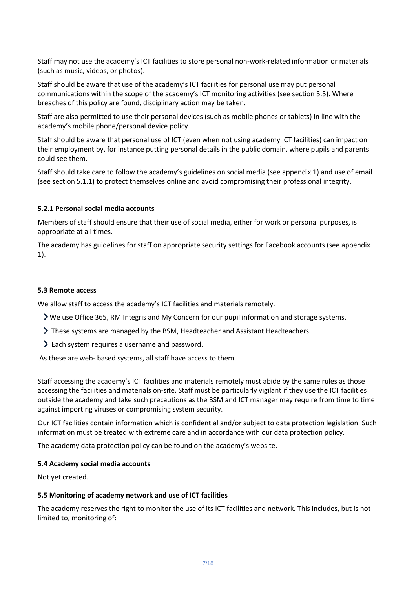Staff may not use the academy's ICT facilities to store personal non-work-related information or materials (such as music, videos, or photos).

Staff should be aware that use of the academy's ICT facilities for personal use may put personal communications within the scope of the academy's ICT monitoring activities (see section 5.5). Where breaches of this policy are found, disciplinary action may be taken.

Staff are also permitted to use their personal devices (such as mobile phones or tablets) in line with the academy's mobile phone/personal device policy.

Staff should be aware that personal use of ICT (even when not using academy ICT facilities) can impact on their employment by, for instance putting personal details in the public domain, where pupils and parents could see them.

Staff should take care to follow the academy's guidelines on social media (see appendix 1) and use of email (see section 5.1.1) to protect themselves online and avoid compromising their professional integrity.

#### **5.2.1 Personal social media accounts**

Members of staff should ensure that their use of social media, either for work or personal purposes, is appropriate at all times.

The academy has guidelines for staff on appropriate security settings for Facebook accounts (see appendix 1).

#### **5.3 Remote access**

We allow staff to access the academy's ICT facilities and materials remotely.

- We use Office 365, RM Integris and My Concern for our pupil information and storage systems.
- These systems are managed by the BSM, Headteacher and Assistant Headteachers.
- Each system requires a username and password.

As these are web- based systems, all staff have access to them.

Staff accessing the academy's ICT facilities and materials remotely must abide by the same rules as those accessing the facilities and materials on-site. Staff must be particularly vigilant if they use the ICT facilities outside the academy and take such precautions as the BSM and ICT manager may require from time to time against importing viruses or compromising system security.

Our ICT facilities contain information which is confidential and/or subject to data protection legislation. Such information must be treated with extreme care and in accordance with our data protection policy.

The academy data protection policy can be found on the academy's website.

#### **5.4 Academy social media accounts**

Not yet created.

#### **5.5 Monitoring of academy network and use of ICT facilities**

The academy reserves the right to monitor the use of its ICT facilities and network. This includes, but is not limited to, monitoring of: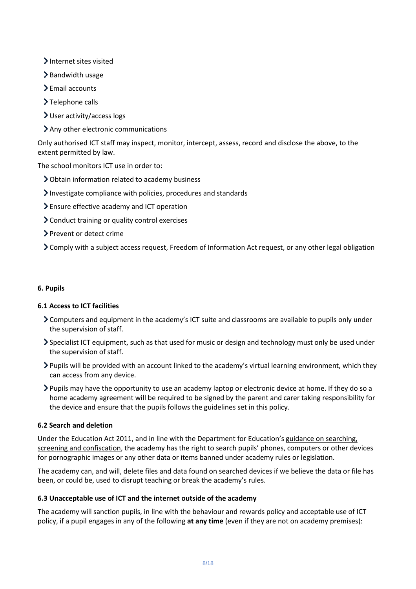- > Internet sites visited
- $\blacktriangleright$  Bandwidth usage
- Email accounts
- >Telephone calls
- User activity/access logs
- Any other electronic communications

Only authorised ICT staff may inspect, monitor, intercept, assess, record and disclose the above, to the extent permitted by law.

The school monitors ICT use in order to:

- Obtain information related to academy business
- Investigate compliance with policies, procedures and standards
- Ensure effective academy and ICT operation
- Conduct training or quality control exercises
- > Prevent or detect crime
- Comply with a subject access request, Freedom of Information Act request, or any other legal obligation

# <span id="page-7-0"></span>**6. Pupils**

# **6.1 Access to ICT facilities**

- Computers and equipment in the academy's ICT suite and classrooms are available to pupils only under the supervision of staff.
- Specialist ICT equipment, such as that used for music or design and technology must only be used under the supervision of staff.
- Pupils will be provided with an account linked to the academy's virtual learning environment, which they can access from any device.
- Pupils may have the opportunity to use an academy laptop or electronic device at home. If they do so a home academy agreement will be required to be signed by the parent and carer taking responsibility for the device and ensure that the pupils follows the guidelines set in this policy.

# **6.2 Search and deletion**

Under the Education Act 2011, and in line with the Department for Education's [guidance on searching,](https://www.gov.uk/government/publications/searching-screening-and-confiscation)  [screening and confiscation,](https://www.gov.uk/government/publications/searching-screening-and-confiscation) the academy has the right to search pupils' phones, computers or other devices for pornographic images or any other data or items banned under academy rules or legislation.

The academy can, and will, delete files and data found on searched devices if we believe the data or file has been, or could be, used to disrupt teaching or break the academy's rules.

# **6.3 Unacceptable use of ICT and the internet outside of the academy**

The academy will sanction pupils, in line with the behaviour and rewards policy and acceptable use of ICT policy, if a pupil engages in any of the following **at any time** (even if they are not on academy premises):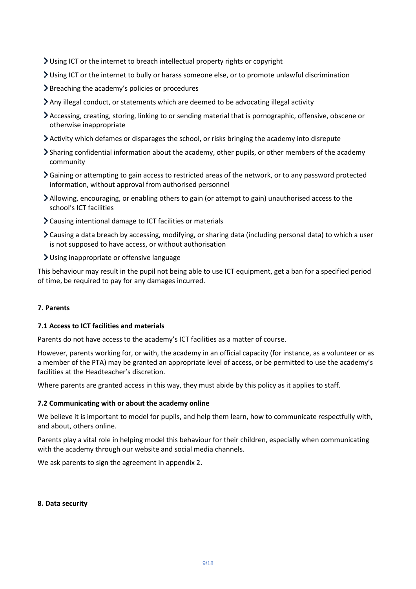- Using ICT or the internet to breach intellectual property rights or copyright
- Using ICT or the internet to bully or harass someone else, or to promote unlawful discrimination
- Breaching the academy's policies or procedures
- Any illegal conduct, or statements which are deemed to be advocating illegal activity
- Accessing, creating, storing, linking to or sending material that is pornographic, offensive, obscene or otherwise inappropriate
- Activity which defames or disparages the school, or risks bringing the academy into disrepute
- Sharing confidential information about the academy, other pupils, or other members of the academy community
- Gaining or attempting to gain access to restricted areas of the network, or to any password protected information, without approval from authorised personnel
- Allowing, encouraging, or enabling others to gain (or attempt to gain) unauthorised access to the school's ICT facilities
- Causing intentional damage to ICT facilities or materials
- Causing a data breach by accessing, modifying, or sharing data (including personal data) to which a user is not supposed to have access, or without authorisation
- Using inappropriate or offensive language

This behaviour may result in the pupil not being able to use ICT equipment, get a ban for a specified period of time, be required to pay for any damages incurred.

#### <span id="page-8-0"></span>**7. Parents**

#### **7.1 Access to ICT facilities and materials**

Parents do not have access to the academy's ICT facilities as a matter of course.

However, parents working for, or with, the academy in an official capacity (for instance, as a volunteer or as a member of the PTA) may be granted an appropriate level of access, or be permitted to use the academy's facilities at the Headteacher's discretion.

Where parents are granted access in this way, they must abide by this policy as it applies to staff.

#### **7.2 Communicating with or about the academy online**

We believe it is important to model for pupils, and help them learn, how to communicate respectfully with, and about, others online.

Parents play a vital role in helping model this behaviour for their children, especially when communicating with the academy through our website and social media channels.

We ask parents to sign the agreement in appendix 2.

#### <span id="page-8-1"></span>**8. Data security**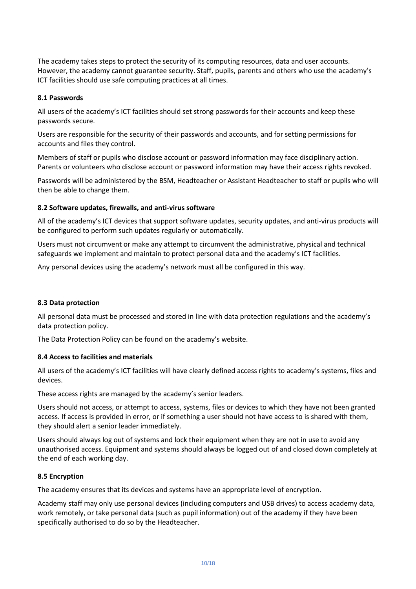The academy takes steps to protect the security of its computing resources, data and user accounts. However, the academy cannot guarantee security. Staff, pupils, parents and others who use the academy's ICT facilities should use safe computing practices at all times.

### **8.1 Passwords**

All users of the academy's ICT facilities should set strong passwords for their accounts and keep these passwords secure.

Users are responsible for the security of their passwords and accounts, and for setting permissions for accounts and files they control.

Members of staff or pupils who disclose account or password information may face disciplinary action. Parents or volunteers who disclose account or password information may have their access rights revoked.

Passwords will be administered by the BSM, Headteacher or Assistant Headteacher to staff or pupils who will then be able to change them.

# **8.2 Software updates, firewalls, and anti-virus software**

All of the academy's ICT devices that support software updates, security updates, and anti-virus products will be configured to perform such updates regularly or automatically.

Users must not circumvent or make any attempt to circumvent the administrative, physical and technical safeguards we implement and maintain to protect personal data and the academy's ICT facilities.

Any personal devices using the academy's network must all be configured in this way.

# **8.3 Data protection**

All personal data must be processed and stored in line with data protection regulations and the academy's data protection policy.

The Data Protection Policy can be found on the academy's website.

#### **8.4 Access to facilities and materials**

All users of the academy's ICT facilities will have clearly defined access rights to academy's systems, files and devices.

These access rights are managed by the academy's senior leaders.

Users should not access, or attempt to access, systems, files or devices to which they have not been granted access. If access is provided in error, or if something a user should not have access to is shared with them, they should alert a senior leader immediately.

Users should always log out of systems and lock their equipment when they are not in use to avoid any unauthorised access. Equipment and systems should always be logged out of and closed down completely at the end of each working day.

#### **8.5 Encryption**

The academy ensures that its devices and systems have an appropriate level of encryption.

Academy staff may only use personal devices (including computers and USB drives) to access academy data, work remotely, or take personal data (such as pupil information) out of the academy if they have been specifically authorised to do so by the Headteacher.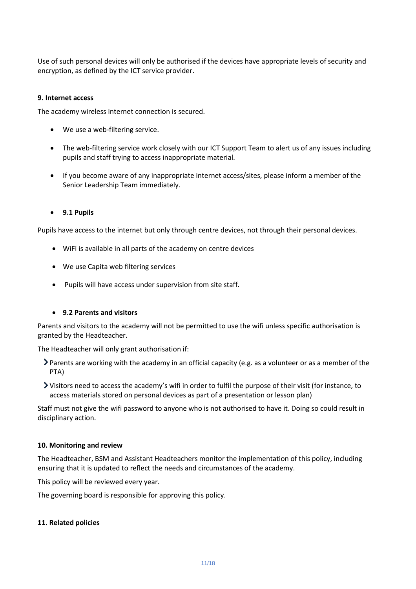Use of such personal devices will only be authorised if the devices have appropriate levels of security and encryption, as defined by the ICT service provider.

#### <span id="page-10-0"></span>**9. Internet access**

The academy wireless internet connection is secured.

- We use a web-filtering service.
- The web-filtering service work closely with our ICT Support Team to alert us of any issues including pupils and staff trying to access inappropriate material.
- If you become aware of any inappropriate internet access/sites, please inform a member of the Senior Leadership Team immediately.
- **9.1 Pupils**

Pupils have access to the internet but only through centre devices, not through their personal devices.

- WiFi is available in all parts of the academy on centre devices
- We use Capita web filtering services
- Pupils will have access under supervision from site staff.

#### • **9.2 Parents and visitors**

Parents and visitors to the academy will not be permitted to use the wifi unless specific authorisation is granted by the Headteacher.

The Headteacher will only grant authorisation if:

- Parents are working with the academy in an official capacity (e.g. as a volunteer or as a member of the PTA)
- Visitors need to access the academy's wifi in order to fulfil the purpose of their visit (for instance, to access materials stored on personal devices as part of a presentation or lesson plan)

Staff must not give the wifi password to anyone who is not authorised to have it. Doing so could result in disciplinary action.

#### <span id="page-10-1"></span>**10. Monitoring and review**

The Headteacher, BSM and Assistant Headteachers monitor the implementation of this policy, including ensuring that it is updated to reflect the needs and circumstances of the academy.

This policy will be reviewed every year.

The governing board is responsible for approving this policy.

#### <span id="page-10-2"></span>**11. Related policies**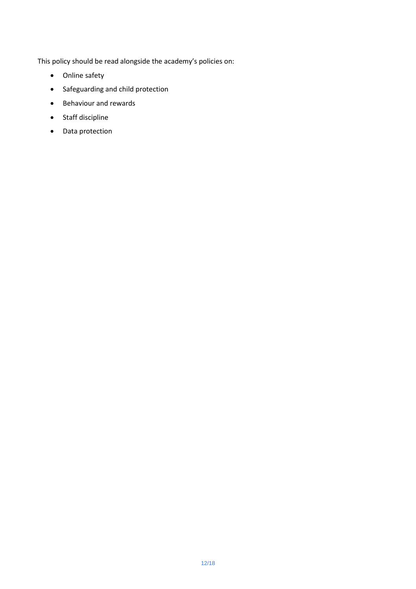This policy should be read alongside the academy's policies on:

- Online safety
- Safeguarding and child protection
- Behaviour and rewards
- Staff discipline
- Data protection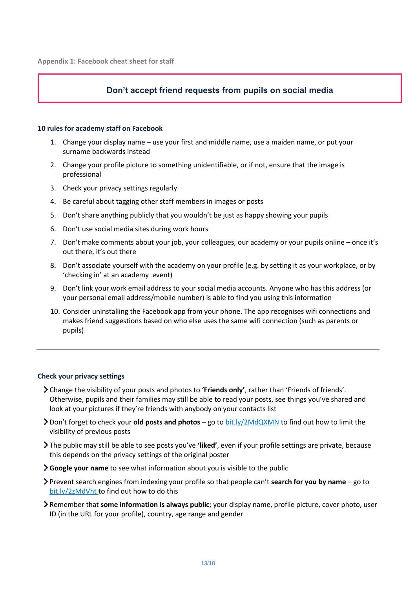# **Don't accept friend requests from pupils on social media**

#### <span id="page-12-0"></span>**10 rules for academy staff on Facebook**

- 1. Change your display name use your first and middle name, use a maiden name, or put your surname backwards instead
- 2. Change your profile picture to something unidentifiable, or if not, ensure that the image is professional
- 3. Check your privacy settings regularly
- 4. Be careful about tagging other staff members in images or posts
- 5. Don't share anything publicly that you wouldn't be just as happy showing your pupils
- 6. Don't use social media sites during work hours
- 7. Don't make comments about your job, your colleagues, our academy or your pupils online once it's out there, it's out there
- 8. Don't associate yourself with the academy on your profile (e.g. by setting it as your workplace, or by 'checking in' at an academy event)
- 9. Don't link your work email address to your social media accounts. Anyone who has this address (or your personal email address/mobile number) is able to find you using this information
- 10. Consider uninstalling the Facebook app from your phone. The app recognises wifi connections and makes friend suggestions based on who else uses the same wifi connection (such as parents or pupils)

#### **Check your privacy settings**

- Change the visibility of your posts and photos to **'Friends only'**, rather than 'Friends of friends'. Otherwise, pupils and their families may still be able to read your posts, see things you've shared and look at your pictures if they're friends with anybody on your contacts list
- Don't forget to check your **old posts and photos** go to [bit.ly/2MdQXMN](https://www.facebook.com/help/iphone-app/236898969688346?helpref=uf_permalink) to find out how to limit the visibility of previous posts
- The public may still be able to see posts you've **'liked'**, even if your profile settings are private, because this depends on the privacy settings of the original poster
- **Google your name** to see what information about you is visible to the public
- Prevent search engines from indexing your profile so that people can't **search for you by name** go to [bit.ly/2zMdVht t](https://www.facebook.com/help/124518907626945?helpref=faq_content)o find out how to do this
- Remember that **some information is always public**; your display name, profile picture, cover photo, user ID (in the URL for your profile), country, age range and gender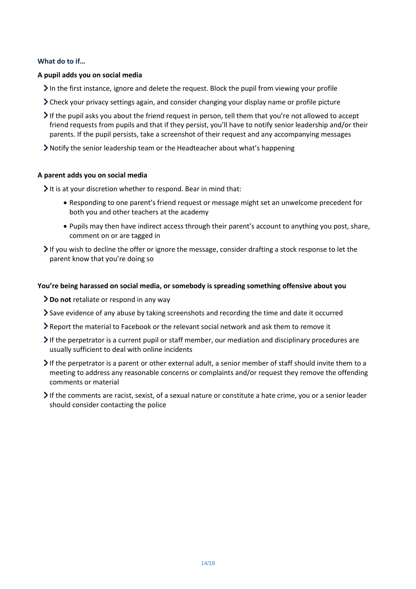# **What do to if…**

### **A pupil adds you on social media**

- In the first instance, ignore and delete the request. Block the pupil from viewing your profile
- Check your privacy settings again, and consider changing your display name or profile picture
- If the pupil asks you about the friend request in person, tell them that you're not allowed to accept friend requests from pupils and that if they persist, you'll have to notify senior leadership and/or their parents. If the pupil persists, take a screenshot of their request and any accompanying messages
- Notify the senior leadership team or the Headteacher about what's happening

# **A parent adds you on social media**

 $\blacktriangleright$  It is at your discretion whether to respond. Bear in mind that:

- Responding to one parent's friend request or message might set an unwelcome precedent for both you and other teachers at the academy
- Pupils may then have indirect access through their parent's account to anything you post, share, comment on or are tagged in
- $\triangleright$  If you wish to decline the offer or ignore the message, consider drafting a stock response to let the parent know that you're doing so

# **You're being harassed on social media, or somebody is spreading something offensive about you**

- **Do not** retaliate or respond in any way
- Save evidence of any abuse by taking screenshots and recording the time and date it occurred
- Report the material to Facebook or the relevant social network and ask them to remove it
- If the perpetrator is a current pupil or staff member, our mediation and disciplinary procedures are usually sufficient to deal with online incidents
- If the perpetrator is a parent or other external adult, a senior member of staff should invite them to a meeting to address any reasonable concerns or complaints and/or request they remove the offending comments or material
- If the comments are racist, sexist, of a sexual nature or constitute a hate crime, you or a senior leader should consider contacting the police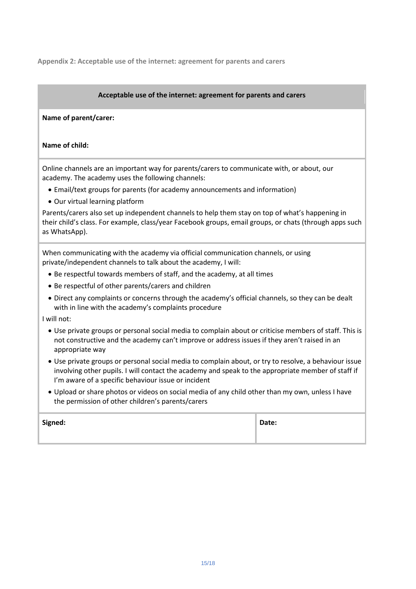<span id="page-14-0"></span>**Appendix 2: Acceptable use of the internet: agreement for parents and carers**

# **Acceptable use of the internet: agreement for parents and carers**

#### **Name of parent/carer:**

#### **Name of child:**

Online channels are an important way for parents/carers to communicate with, or about, our academy. The academy uses the following channels:

- Email/text groups for parents (for academy announcements and information)
- Our virtual learning platform

Parents/carers also set up independent channels to help them stay on top of what's happening in their child's class. For example, class/year Facebook groups, email groups, or chats (through apps such as WhatsApp).

When communicating with the academy via official communication channels, or using private/independent channels to talk about the academy, I will:

- Be respectful towards members of staff, and the academy, at all times
- Be respectful of other parents/carers and children
- Direct any complaints or concerns through the academy's official channels, so they can be dealt with in line with the academy's complaints procedure

I will not:

- Use private groups or personal social media to complain about or criticise members of staff. This is not constructive and the academy can't improve or address issues if they aren't raised in an appropriate way
- Use private groups or personal social media to complain about, or try to resolve, a behaviour issue involving other pupils. I will contact the academy and speak to the appropriate member of staff if I'm aware of a specific behaviour issue or incident
- Upload or share photos or videos on social media of any child other than my own, unless I have the permission of other children's parents/carers

| Signed: | Date: |
|---------|-------|
|         |       |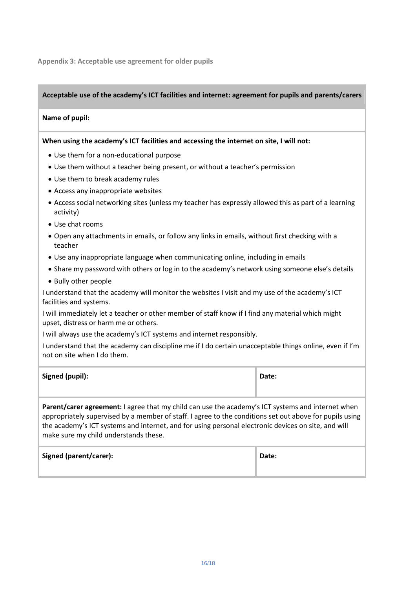<span id="page-15-0"></span>**Appendix 3: Acceptable use agreement for older pupils**

### **Acceptable use of the academy's ICT facilities and internet: agreement for pupils and parents/carers**

#### **Name of pupil:**

#### **When using the academy's ICT facilities and accessing the internet on site, I will not:**

- Use them for a non-educational purpose
- Use them without a teacher being present, or without a teacher's permission
- Use them to break academy rules
- Access any inappropriate websites
- Access social networking sites (unless my teacher has expressly allowed this as part of a learning activity)
- Use chat rooms
- Open any attachments in emails, or follow any links in emails, without first checking with a teacher
- Use any inappropriate language when communicating online, including in emails
- Share my password with others or log in to the academy's network using someone else's details
- Bully other people

I understand that the academy will monitor the websites I visit and my use of the academy's ICT facilities and systems.

I will immediately let a teacher or other member of staff know if I find any material which might upset, distress or harm me or others.

I will always use the academy's ICT systems and internet responsibly.

I understand that the academy can discipline me if I do certain unacceptable things online, even if I'm not on site when I do them.

| <b>Signed (pupil):</b> | Date: |
|------------------------|-------|
|                        |       |

**Parent/carer agreement:** I agree that my child can use the academy's ICT systems and internet when appropriately supervised by a member of staff. I agree to the conditions set out above for pupils using the academy's ICT systems and internet, and for using personal electronic devices on site, and will make sure my child understands these.

| Signed (parent/carer): | Date: |
|------------------------|-------|
|                        |       |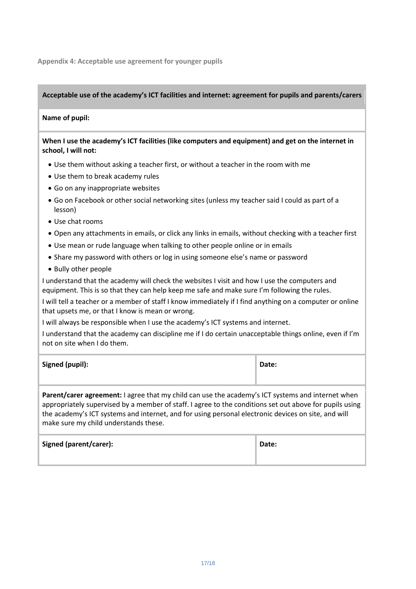<span id="page-16-0"></span>**Appendix 4: Acceptable use agreement for younger pupils**

# **Acceptable use of the academy's ICT facilities and internet: agreement for pupils and parents/carers**

# **Name of pupil:**

# **When I use the academy's ICT facilities (like computers and equipment) and get on the internet in school, I will not:**

- Use them without asking a teacher first, or without a teacher in the room with me
- Use them to break academy rules
- Go on any inappropriate websites
- Go on Facebook or other social networking sites (unless my teacher said I could as part of a lesson)
- Use chat rooms
- Open any attachments in emails, or click any links in emails, without checking with a teacher first
- Use mean or rude language when talking to other people online or in emails
- Share my password with others or log in using someone else's name or password
- Bully other people

I understand that the academy will check the websites I visit and how I use the computers and equipment. This is so that they can help keep me safe and make sure I'm following the rules.

I will tell a teacher or a member of staff I know immediately if I find anything on a computer or online that upsets me, or that I know is mean or wrong.

I will always be responsible when I use the academy's ICT systems and internet.

I understand that the academy can discipline me if I do certain unacceptable things online, even if I'm not on site when I do them.

| <b>Signed (pupil):</b> | Date: |
|------------------------|-------|
|                        |       |

**Parent/carer agreement:** I agree that my child can use the academy's ICT systems and internet when appropriately supervised by a member of staff. I agree to the conditions set out above for pupils using the academy's ICT systems and internet, and for using personal electronic devices on site, and will make sure my child understands these.

| Signed (parent/carer): | Date: |
|------------------------|-------|
|                        |       |